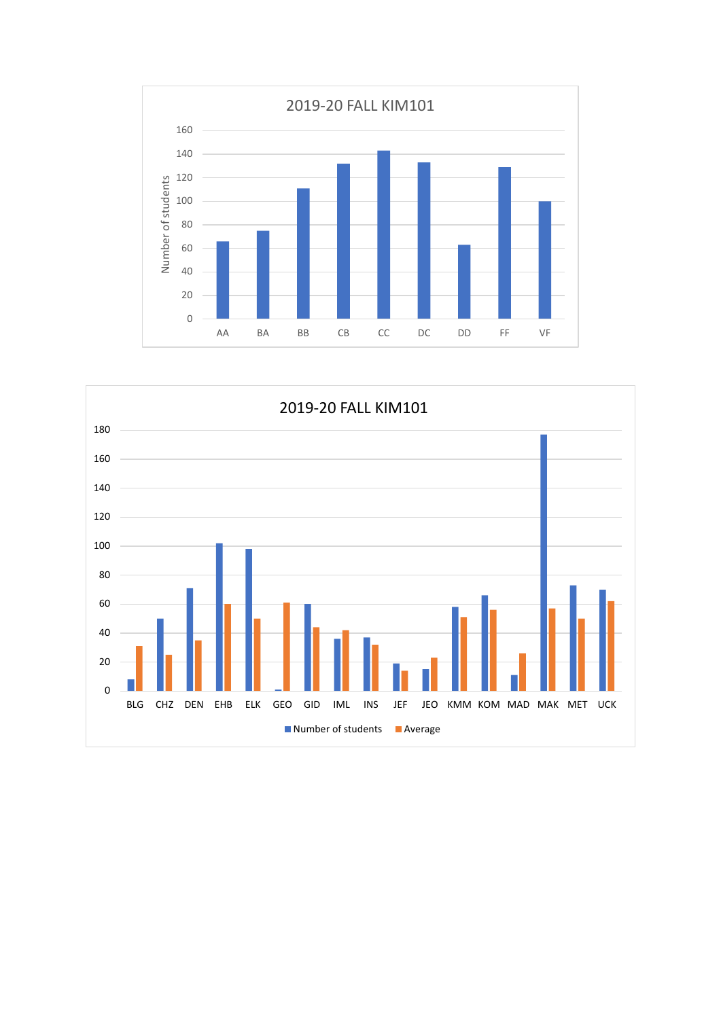

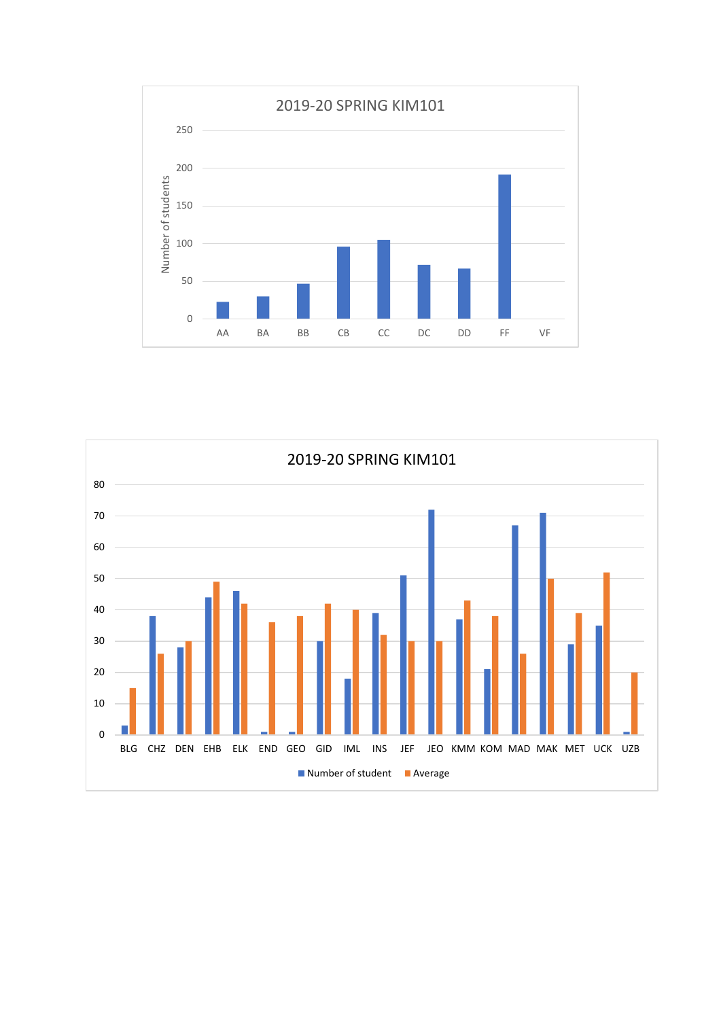

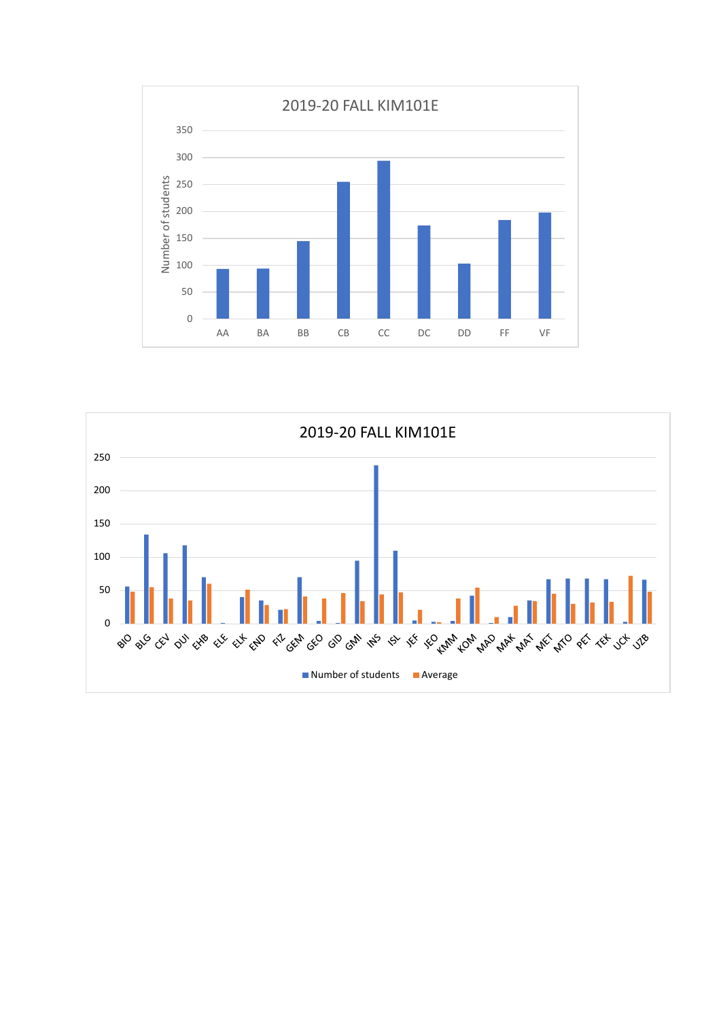